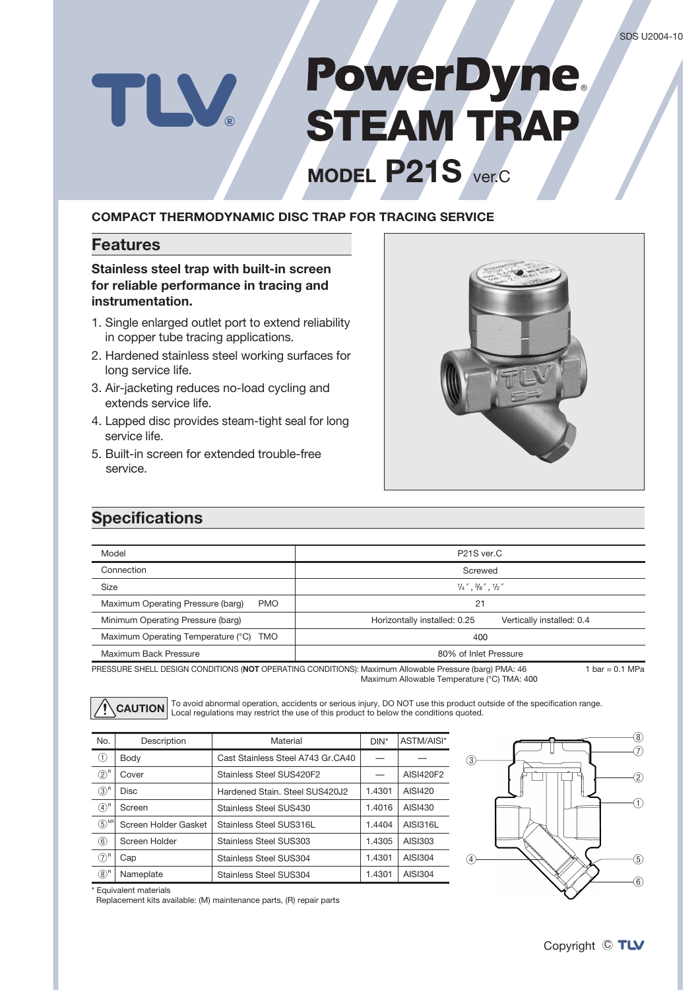# **PowerDyne STEAM TRAP**

**MODEL P21S** ver.C

#### **COMPACT THERMODYNAMIC DISC TRAP FOR TRACING SERVICE**

#### **Features**

TLV

#### **Stainless steel trap with built-in screen for reliable performance in tracing and instrumentation.**

- 1. Single enlarged outlet port to extend reliability in copper tube tracing applications.
- 2. Hardened stainless steel working surfaces for long service life.
- 3. Air-jacketing reduces no-load cycling and extends service life.
- 4. Lapped disc provides steam-tight seal for long service life.
- 5. Built-in screen for extended trouble-free service.



### **Specifications**

| Model                                            | P21S ver.C                                                                                                                |  |  |
|--------------------------------------------------|---------------------------------------------------------------------------------------------------------------------------|--|--|
| Connection                                       | Screwed                                                                                                                   |  |  |
| Size                                             | $\frac{1}{4}$ ", $\frac{3}{8}$ ", $\frac{1}{2}$ "                                                                         |  |  |
| Maximum Operating Pressure (barg)<br><b>PMO</b>  | 21                                                                                                                        |  |  |
| Minimum Operating Pressure (barg)                | Horizontally installed: 0.25<br>Vertically installed: 0.4                                                                 |  |  |
| Maximum Operating Temperature (°C)<br><b>TMO</b> | 400                                                                                                                       |  |  |
| Maximum Back Pressure                            | 80% of Inlet Pressure                                                                                                     |  |  |
|                                                  | 1 bar = 0.1 MPa<br>PRESSURE SHELL DESIGN CONDITIONS (NOT OPERATING CONDITIONS): Maximum Allowable Pressure (barg) PMA: 46 |  |  |

PRESSURE SHELL DESIGN CONDITIONS (**NOT** OPERATING CONDITIONS): Maximum Allowable Pressure (barg) PMA: 46 Maximum Allowable Temperature (°C) TMA: 400

**CAUTION** To avoid abnormal operation, accidents or serious injury, DO NOT use this product outside of the specification range. Local regulations may restrict the use of this product to below the conditions quoted.

| No.                 | Description          | Material                          | $DIN^*$ | ASTM/AISI* |
|---------------------|----------------------|-----------------------------------|---------|------------|
| $\circled{1}$       | Body                 | Cast Stainless Steel A743 Gr.CA40 |         |            |
| $(2)^{R}$           | Cover                | Stainless Steel SUS420F2          |         | AISI420F2  |
| (3) <sup>R</sup>    | <b>Disc</b>          | Hardened Stain, Steel SUS420J2    | 1.4301  | AISI420    |
| $(4)$ <sup>R</sup>  | Screen               | Stainless Steel SUS430            | 1.4016  | AISI430    |
| $(5)$ <sup>MR</sup> | Screen Holder Gasket | Stainless Steel SUS316L           | 1.4404  | AISI316L   |
| $\circled6$         | Screen Holder        | Stainless Steel SUS303            | 1.4305  | AISI303    |
| (7) <sup>R</sup>    | Cap                  | Stainless Steel SUS304            | 1.4301  | AISI304    |
| $(8)^R$             | Nameplate            | Stainless Steel SUS304            | 1.4301  | AISI304    |



\* Equivalent materials

Replacement kits available: (M) maintenance parts, (R) repair parts